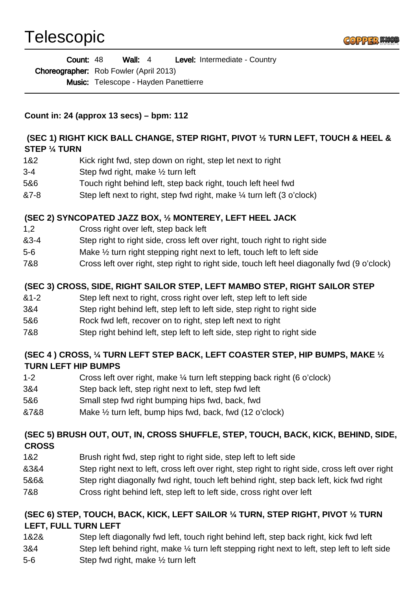# Telescopic



Wall: 4 Level: Intermediate - Country Choreographer: Rob Fowler (April 2013) Count: 48

Music: Telescope - Hayden Panettierre

**Count in: 24 (approx 13 secs) – bpm: 112**

## **(SEC 1) RIGHT KICK BALL CHANGE, STEP RIGHT, PIVOT ½ TURN LEFT, TOUCH & HEEL & STEP ¼ TURN**

- 1&2 Kick right fwd, step down on right, step let next to right
- 3-4 Step fwd right, make ½ turn left
- 5&6 Touch right behind left, step back right, touch left heel fwd
- &7-8 Step left next to right, step fwd right, make ¼ turn left (3 o'clock)

## **(SEC 2) SYNCOPATED JAZZ BOX, ½ MONTEREY, LEFT HEEL JACK**

- 1,2 Cross right over left, step back left
- &3-4 Step right to right side, cross left over right, touch right to right side
- 5-6 Make ½ turn right stepping right next to left, touch left to left side
- 7&8 Cross left over right, step right to right side, touch left heel diagonally fwd (9 o'clock)

## **(SEC 3) CROSS, SIDE, RIGHT SAILOR STEP, LEFT MAMBO STEP, RIGHT SAILOR STEP**

- &1-2 Step left next to right, cross right over left, step left to left side
- 3&4 Step right behind left, step left to left side, step right to right side
- 5&6 Rock fwd left, recover on to right, step left next to right
- 7&8 Step right behind left, step left to left side, step right to right side

## **(SEC 4 ) CROSS, ¼ TURN LEFT STEP BACK, LEFT COASTER STEP, HIP BUMPS, MAKE ½ TURN LEFT HIP BUMPS**

- 1-2 Cross left over right, make ¼ turn left stepping back right (6 o'clock)
- 3&4 Step back left, step right next to left, step fwd left
- 5&6 Small step fwd right bumping hips fwd, back, fwd
- &7&8 Make ½ turn left, bump hips fwd, back, fwd (12 o'clock)

# **(SEC 5) BRUSH OUT, OUT, IN, CROSS SHUFFLE, STEP, TOUCH, BACK, KICK, BEHIND, SIDE, CROSS**

- 1&2 Brush right fwd, step right to right side, step left to left side
- &3&4 Step right next to left, cross left over right, step right to right side, cross left over right
- 5&6& Step right diagonally fwd right, touch left behind right, step back left, kick fwd right
- 7&8 Cross right behind left, step left to left side, cross right over left

## **(SEC 6) STEP, TOUCH, BACK, KICK, LEFT SAILOR ¼ TURN, STEP RIGHT, PIVOT ½ TURN LEFT, FULL TURN LEFT**

- 1&2& Step left diagonally fwd left, touch right behind left, step back right, kick fwd left
- 3&4 Step left behind right, make ¼ turn left stepping right next to left, step left to left side
- 5-6 Step fwd right, make ½ turn left